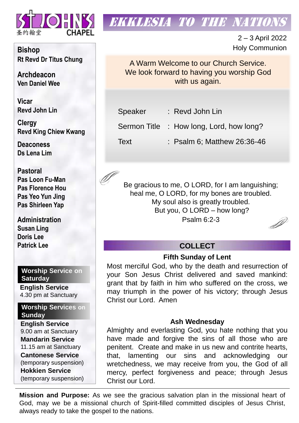

# **EKKLESIA TO THE NATION**

2 – 3 April 2022 Holy Communion

A Warm Welcome to our Church Service. We look forward to having you worship God with us again.

Speaker : Revd John Lin

Sermon Title : How long, Lord, how long?

Text : Psalm 6; Matthew 26:36-46

Be gracious to me, O LORD, for I am languishing; heal me, O LORD, for my bones are troubled. My soul also is greatly troubled. But you, O LORD – how long? Psalm 6:2-3

D

## **COLLECT**

## **Fifth Sunday of Lent**

Most merciful God, who by the death and resurrection of your Son Jesus Christ delivered and saved mankind: grant that by faith in him who suffered on the cross, we may triumph in the power of his victory; through Jesus Christ our Lord. Amen

## **Ash Wednesday**

Almighty and everlasting God, you hate nothing that you have made and forgive the sins of all those who are penitent. Create and make in us new and contrite hearts, that, lamenting our sins and acknowledging our wretchedness, we may receive from you, the God of all mercy, perfect forgiveness and peace; through Jesus Christ our Lord.

**Mission and Purpose:** As we see the gracious salvation plan in the missional heart of God, may we be a missional church of Spirit-filled committed disciples of Jesus Christ, always ready to take the gospel to the nations.

**Bishop Rt Revd Dr Titus Chung**

**Archdeacon Ven Daniel Wee**

**Vicar Revd John Lin** 

**Clergy Revd King Chiew Kwang**

**Deaconess Ds Lena Lim**

**Pastoral Pas Loon Fu-Man Pas Florence Hou Pas Yeo Yun Jing Pas Shirleen Yap**

**Administration Susan Ling Doris Lee Patrick Lee**

**Worship Service on Saturday**

**English Service**  4.30 pm at Sanctuary

**Worship Services on Sunday**

**English Service** 9.00 am at Sanctuary **Mandarin Service** 11.15 am at Sanctuary **Cantonese Service** (temporary suspension) **Hokkien Service** (temporary suspension)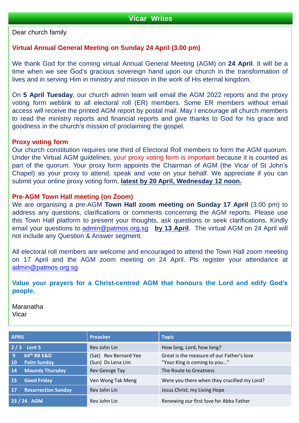Dear church family

## **Virtual Annual General Meeting on Sunday 24 April (3.00 pm)**

We thank God for the coming virtual Annual General Meeting (AGM) on **24 April**. It will be a time when we see God's gracious sovereign hand upon our church in the transformation of lives and in serving Him in ministry and mission in the work of His eternal kingdom.

On **5 April Tuesday**, our church admin team will email the AGM 2022 reports and the proxy voting form weblink to all electoral roll (ER) members. Some ER members without email access will receive the printed AGM report by postal mail. May I encourage all church members to read the ministry reports and financial reports and give thanks to God for his grace and goodness in the church's mission of proclaiming the gospel.

#### **Proxy voting form**

Our church constitution requires one third of Electoral Roll members to form the AGM quorum. Under the Virtual AGM guidelines, your proxy voting form is important because it is counted as part of the quorum. Your proxy form appoints the Chairman of AGM (the Vicar of St John's Chapel) as your proxy to attend, speak and vote on your behalf. We appreciate if you can submit your online proxy voting form, **latest by 20 April, Wednesday 12 noon.**

#### **Pre-AGM Town Hall meeting (on Zoom)**

We are organising a pre-AGM **Town Hall zoom meeting on Sunday 17 April** (3.00 pm) to address any questions, clarifications or comments concerning the AGM reports. Please use this Town Hall platform to present your thoughts, ask questions or seek clarifications. Kindly email your questions to [admin@patmos.org.sg](mailto:admin@patmos.org.sg) **by 13 April**. The virtual AGM on 24 April will not include any Question & Answer segment.

All electoral roll members are welcome and encouraged to attend the Town Hall zoom meeting on 17 April and the AGM zoom meeting on 24 April. Pls register your attendance at [admin@patmos.org.sg](mailto:admin@patmos.org.sg)

**Value your prayers for a Christ-centred AGM that honours the Lord and edify God's people.**

Maranatha Vicar

| <b>APRIL</b>                                 | <b>Preacher</b>                            | <b>Topic</b>                                                              |  |  |
|----------------------------------------------|--------------------------------------------|---------------------------------------------------------------------------|--|--|
| $2/3$ Lent 5                                 | Rev John Lin                               | How long, Lord, how long?                                                 |  |  |
| 64th BB E&D<br>9<br><b>Palm Sunday</b><br>10 | (Sat) Rev Bernard Yee<br>(Sun) Ds Lena Lim | Great is the measure of our Father's love<br>"Your King is coming to you" |  |  |
| Maundy Thursday<br>14                        | Rev George Tay                             | The Route to Greatness                                                    |  |  |
| <b>Good Friday</b><br><b>15</b>              | Ven Wong Tak Meng                          | Were you there when they crucified my Lord?                               |  |  |
| <b>Resurrection Sunday</b><br><b>17</b>      | Rev John Lin                               | Jesus Christ, my Living Hope                                              |  |  |
| $23/24$ AGM                                  | Rev John Lin                               | Renewing our first love for Abba Father                                   |  |  |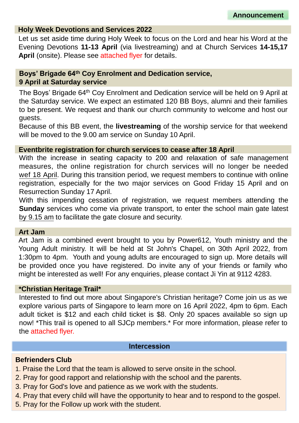### **Holy Week Devotions and Services 2022**

Let us set aside time during Holy Week to focus on the Lord and hear his Word at the Evening Devotions **11-13 April** (via livestreaming) and at Church Services **14-15,17 April** (onsite). Please see attached flyer for details.

## **Boys' Brigade 64th Coy Enrolment and Dedication service, 9 April at Saturday service**

The Boys' Brigade 64th Coy Enrolment and Dedication service will be held on 9 April at the Saturday service. We expect an estimated 120 BB Boys, alumni and their families to be present. We request and thank our church community to welcome and host our guests.

Because of this BB event, the **livestreaming** of the worship service for that weekend will be moved to the 9.00 am service on Sunday 10 April.

## **Eventbrite registration for church services to cease after 18 April**

With the increase in seating capacity to 200 and relaxation of safe management measures, the online registration for church services will no longer be needed wef 18 April. During this transition period, we request members to continue with online registration, especially for the two major services on Good Friday 15 April and on Resurrection Sunday 17 April.

With this impending cessation of registration, we request members attending the **Sunday** services who come via private transport, to enter the school main gate latest by 9.15 am to facilitate the gate closure and security.

## **Art Jam**

Art Jam is a combined event brought to you by Power612, Youth ministry and the Young Adult ministry. It will be held at St John's Chapel, on 30th April 2022, from 1:30pm to 4pm. Youth and young adults are encouraged to sign up. More details will be provided once you have registered. Do invite any of your friends or family who might be interested as well! For any enquiries, please contact Ji Yin at 9112 4283.

## **\*Christian Heritage Trail\***

Interested to find out more about Singapore's Christian heritage? Come join us as we explore various parts of Singapore to learn more on 16 April 2022, 4pm to 6pm. Each adult ticket is \$12 and each child ticket is \$8. Only 20 spaces available so sign up now! \*This trail is opened to all SJCp members.\* For more information, please refer to the attached flyer.

#### **Intercession**

## **Befrienders Club**

- 1. Praise the Lord that the team is allowed to serve onsite in the school.
- 2. Pray for good rapport and relationship with the school and the parents.
- 3. Pray for God's love and patience as we work with the students.
- 4. Pray that every child will have the opportunity to hear and to respond to the gospel.
- 5. Pray for the Follow up work with the student.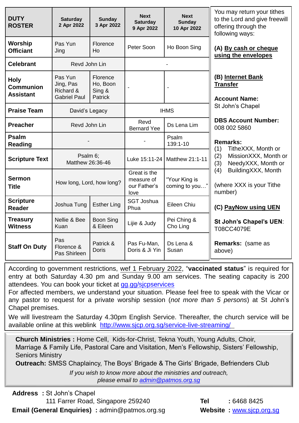| <b>DUTY</b><br><b>ROSTER</b>                        | <b>Saturday</b><br>2 Apr 2022                            | <b>Sunday</b><br>3 Apr 2022                      | <b>Next</b><br><b>Saturday</b><br>9 Apr 2022       | <b>Next</b><br><b>Sunday</b><br>10 Apr 2022 | You may return your tithes<br>to the Lord and give freewill<br>offering through the<br>following ways:                                                                       |
|-----------------------------------------------------|----------------------------------------------------------|--------------------------------------------------|----------------------------------------------------|---------------------------------------------|------------------------------------------------------------------------------------------------------------------------------------------------------------------------------|
| Worship<br><b>Officiant</b>                         | Pas Yun<br>Jing                                          | Florence<br>Ho                                   | Peter Soon                                         | Ho Boon Sing                                | (A) By cash or cheque<br>using the envelopes                                                                                                                                 |
| <b>Celebrant</b>                                    | Revd John Lin                                            |                                                  |                                                    |                                             |                                                                                                                                                                              |
| <b>Holy</b><br><b>Communion</b><br><b>Assistant</b> | Pas Yun<br>Jing, Pas<br>Richard &<br><b>Gabriel Paul</b> | Florence<br>Ho, Boon<br>Sing &<br><b>Patrick</b> |                                                    |                                             | (B) Internet Bank<br><b>Transfer</b><br><b>Account Name:</b>                                                                                                                 |
| <b>Praise Team</b>                                  | David's Legacy                                           |                                                  | <b>IHMS</b>                                        |                                             | St John's Chapel                                                                                                                                                             |
| <b>Preacher</b>                                     | Revd John Lin                                            |                                                  | Revd<br><b>Bernard Yee</b>                         | Ds Lena Lim                                 | <b>DBS Account Number:</b><br>008 002 5860                                                                                                                                   |
| Psalm<br><b>Reading</b>                             |                                                          |                                                  |                                                    | Psalm<br>139:1-10                           | <b>Remarks:</b><br>(1)<br>TitheXXX, Month or<br>(2)<br>MissionXXX, Month or<br>NeedyXXX, Month or<br>(3)<br>BuildingXXX, Month<br>(4)<br>(where XXX is your Tithe<br>number) |
| <b>Scripture Text</b>                               | Psalm 6;<br>Matthew 26:36-46                             |                                                  | Luke 15:11-24                                      | Matthew 21:1-11                             |                                                                                                                                                                              |
| <b>Sermon</b><br><b>Title</b>                       | How long, Lord, how long?                                |                                                  | Great is the<br>measure of<br>our Father's<br>love | "Your King is<br>coming to you              |                                                                                                                                                                              |
| <b>Scripture</b><br><b>Reader</b>                   | Joshua Tung                                              | <b>Esther Ling</b>                               | <b>SGT Joshua</b><br>Phua                          | Eileen Chiu                                 | (C) PayNow using UEN                                                                                                                                                         |
| <b>Treasury</b><br><b>Witness</b>                   | Nellie & Bee<br>Kuan                                     | <b>Boon Sing</b><br>& Eileen                     | Lijie & Judy                                       | Pei Ching &<br>Cho Ling                     | St John's Chapel's UEN:<br>T08CC4079E                                                                                                                                        |
| <b>Staff On Duty</b>                                | Pas<br>Florence &<br>Pas Shirleen                        | Patrick &<br><b>Doris</b>                        | Pas Fu-Man,<br>Doris & Ji Yin                      | Ds Lena &<br>Susan                          | Remarks: (same as<br>above)                                                                                                                                                  |

According to government restrictions, wef 1 February 2022, "**vaccinated status**" is required for entry at both Saturday 4.30 pm and Sunday 9.00 am services. The seating capacity is 200 attendees. You can book your ticket at [gg.gg/sjcpservices](https://www.eventbrite.sg/o/st-johns-chapel-singapore-30660507632)

For affected members, we understand your situation. Please feel free to speak with the Vicar or any pastor to request for a private worship session (*not more than 5 persons*) at St John's Chapel premises.

We will livestream the Saturday 4.30pm English Service. Thereafter, the church service will be available online at this weblink <http://www.sjcp.org.sg/service-live-streaming/>

**Church Ministries :** Home Cell, Kids-for-Christ, Tekna Youth, Young Adults, Choir, Marriage & Family Life, Pastoral Care and Visitation, Men's Fellowship, Sisters' Fellowship, Seniors Ministry

**Outreach:** SMSS Chaplaincy, The Boys' Brigade & The Girls' Brigade, Befrienders Club

*If you wish to know more about the ministries and outreach, please email to [admin@patmos.org.sg](mailto:admin@patmos.org.sg)*

**Address :** St John's Chapel 111 Farrer Road, Singapore 259240 **Tel :** 6468 8425 **Email (General Enquiries)** :  $\text{admin@patmos.orgsg}$  **Website :** [www.sjcp.org.sg](http://www.sjcp.org.sg/)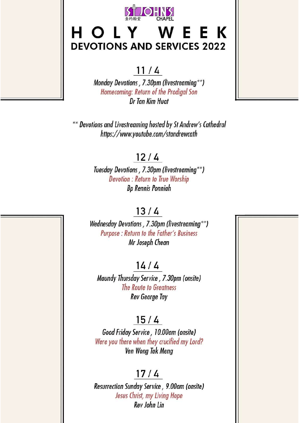

# HOLY WEEK **DEVOTIONS AND SERVICES 2022**

## $11/4$

Monday Devotions, 7.30pm (livestreaming\*\*) Homecoming: Return of the Prodigal Son Dr Tan Kim Huat

\*\* Devotions and Livestreaming hosted by St Andrew's Cathedral https://www.youtube.com/standrewcath

## $12/4$

Tuesday Devotions, 7.30pm (livestreaming\*\*) **Devotion: Return to True Worship Bp Rennis Ponniah** 

## $13/4$

Wednesday Devotions, 7.30pm (livestreaming\*\*) Purpose : Return to the Father's Business Mr Joseph Chean

## $14/4$

Maundy Thursday Service, 7.30pm (onsite) The Route to Greatness **Rev George Tay** 

## $15/4$

Good Friday Service, 10.00am (onsite) Were you there when they crucified my Lord? Ven Wong Tak Meng

## $17/4$

Resurrection Sunday Service, 9.00am (onsite) Jesus Christ, my Living Hope Rev John Lin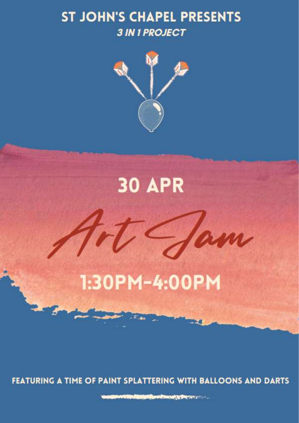# **ST JOHN'S CHAPEL PRESENTS 3 IN 1 PROJECT**



# **30 APR**

# 1:30PM-4:00PM

FEATURING A TIME OF PAINT SPLATTERING WITH BALLOONS AND DARTS

**CARD COMPANY OF BUILDING COMPANY**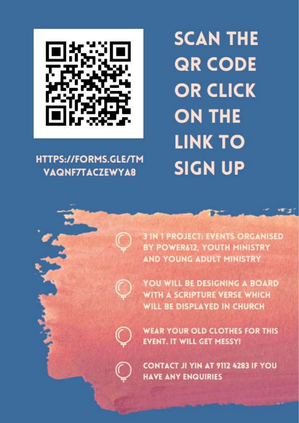

# **HTTPS://FORMS.GLE/TM VAQNF7TACZEWYA8**

# **SCAN THE QR CODE OR CLICK ON THE LINK TO SIGN UP**

**3 IN 1 PROJECT: EVENTS ORGANISED** BY POWER612, YOUTH MINISTRY AND YOUNG ADULT MINISTRY



YOU WILL BE DESIGNING A BOARD **WITH A SCRIPTURE VERSE WHICH WILL BE DISPLAYED IN CHURCH** 



**WEAR YOUR OLD CLOTHES FOR THIS EVENT. IT WILL GET MESSY!** 



**CONTACT JI YIN AT 9112 4283 IF YOU HAVE ANY ENQUIRIES**